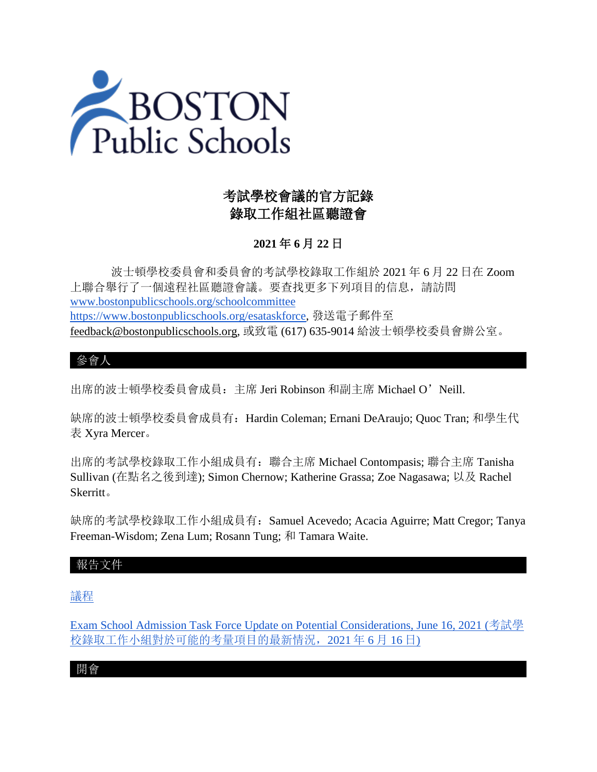

# 考試學校會議的官方記錄 錄取工作組社區聽證會

# **2021** 年 **6** 月 **22** 日

 波士頓學校委員會和委員會的考試學校錄取工作組於 2021 年 6 月 22 日在 Zoom 上聯合舉行了一個遠程社區聽證會議。要查找更多下列項目的信息,請訪問 [www.bostonpublicschools.org/schoolcommittee](https://www.bostonpublicschools.org/domain/162) [https://www.bostonpublicschools.org/esataskforce,](https://www.bostonpublicschools.org/esataskforce) 發送電子郵件至 [feedback@bostonpublicschools.org,](mailto:feedback@bostonpublicschools.org) 或致電 (617) 635-9014 給波士頓學校委員會辦公室。

### 參會人

出席的波士頓學校委員會成員:主席 Jeri Robinson 和副主席 Michael O'Neill.

缺席的波士頓學校委員會成員有:Hardin Coleman; Ernani DeAraujo; Quoc Tran; 和學生代 表 Xyra Mercer。

出席的考試學校錄取工作小組成員有:聯合主席 Michael Contompasis; 聯合主席 Tanisha Sullivan (在點名之後到達); Simon Chernow; Katherine Grassa; Zoe Nagasawa; 以及 Rachel Skerritt。

缺席的考試學校錄取工作小組成員有: Samuel Acevedo; Acacia Aguirre; Matt Cregor; Tanya Freeman-Wisdom; Zena Lum; Rosann Tung; 和 Tamara Waite.

### 報告文件

[議程](https://www.boston.gov/public-notices/15756251)

[Exam School Admission Task Force Update on Potential Considerations, June 16, 2021 \(](https://www.bostonpublicschools.org/cms/lib/MA01906464/Centricity/Domain/162/Exam%20Schools%20Task%20Force%20Presentation%20to%20School%20Committee%20Final%202.pdf)考試學 校錄取工作小組對於可能的考量項目的最新情況,2021 年 6 月 16 日)

開會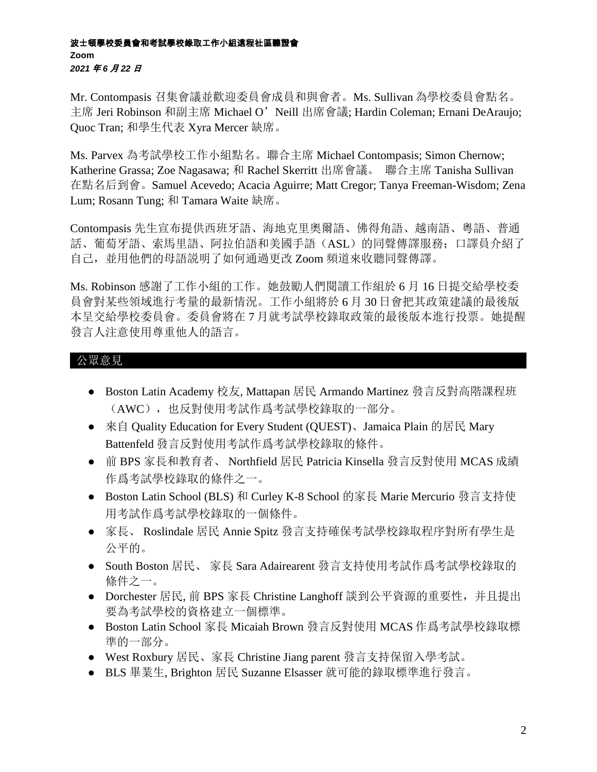#### 波士頓學校委員會和考試學校錄取工作小組遠程社區聽證會 **Zoom** *2021* 年 *6* 月 *22* 日

Mr. Contompasis 召集會議並歡迎委員會成員和與會者。Ms. Sullivan 為學校委員會點名。 主席 Jeri Robinson 和副主席 Michael O'Neill 出席會議; Hardin Coleman; Ernani DeAraujo; Quoc Tran; 和學生代表 Xyra Mercer 缺席。

Ms. Parvex 為考試學校工作小組點名。聯合主席 Michael Contompasis; Simon Chernow; Katherine Grassa; Zoe Nagasawa; 和 Rachel Skerritt 出席會議。 聯合主席 Tanisha Sullivan 在點名后到會。Samuel Acevedo; Acacia Aguirre; Matt Cregor; Tanya Freeman-Wisdom; Zena Lum; Rosann Tung; 和 Tamara Waite 缺席。

Contompasis 先生宣布提供西班牙語、海地克里奧爾語、佛得角語、越南語、粵語、普通 話、葡萄牙語、索馬里語、阿拉伯語和美國手語(ASL)的同聲傳譯服務;口譯員介紹了 自己,並用他們的母語説明了如何通過更改 Zoom 頻道來收聽同聲傳譯。

Ms. Robinson 感謝了工作小組的工作。她鼓勵人們閱讀工作組於 6 月 16 日提交給學校委 員會對某些領域進行考量的最新情況。工作小組將於 6 月 30 日會把其政策建議的最後版 本呈交給學校委員會。委員會將在 7 月就考試學校錄取政策的最後版本進行投票。她提醒 發言人注意使用尊重他人的語言。

## 公眾意見

- Boston Latin Academy 校友, Mattapan 居民 Armando Martinez 發言反對高階課程班 (AWC),也反對使用考試作爲考試學校錄取的一部分。
- 來自 Quality Education for Every Student (QUEST)、Jamaica Plain 的居民 Mary Battenfeld 發言反對使用考試作爲考試學校錄取的條件。
- 前 BPS 家長和教育者、 Northfield 居民 Patricia Kinsella 發言反對使用 MCAS 成績 作爲考試學校錄取的條件之一。
- Boston Latin School (BLS) 和 Curley K-8 School 的家長 Marie Mercurio 發言支持使 用考試作爲考試學校錄取的一個條件。
- 家長、 Roslindale 居民 Annie Spitz 發言支持確保考試學校錄取程序對所有學生是 公平的。
- South Boston 居民、 家長 Sara Adairearent 發言支持使用考試作爲考試學校錄取的 條件之一。
- Dorchester 居民, 前 BPS 家長 Christine Langhoff 談到公平資源的重要性, 并且提出 要為考試學校的資格建立一個標準。
- Boston Latin School 家長 Micaiah Brown 發言反對使用 MCAS 作爲考試學校錄取標 準的一部分。
- West Roxbury 居民、家長 Christine Jiang parent 發言支持保留入學考試。
- BLS 畢業生, Brighton 居民 Suzanne Elsasser 就可能的錄取標準進行發言。